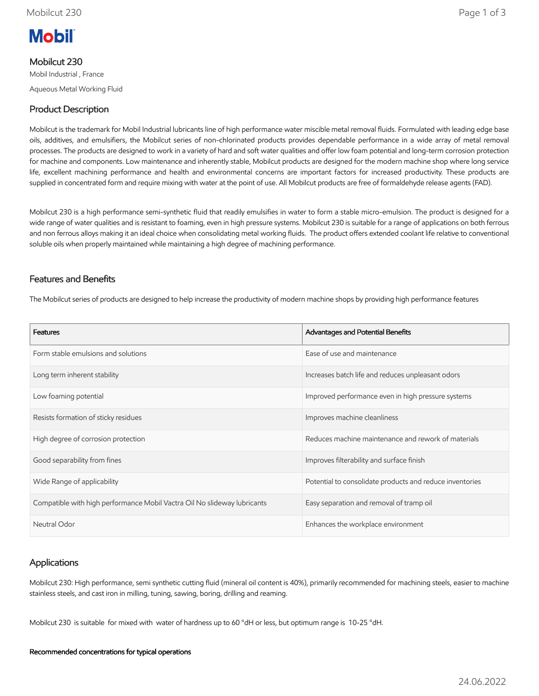

## Mobilcut 230

Mobil Industrial , France Aqueous Metal Working Fluid

# Product Description

Mobilcut is the trademark for Mobil Industrial lubricants line of high performance water miscible metal removal fluids. Formulated with leading edge base oils, additives, and emulsifiers, the Mobilcut series of non-chlorinated products provides dependable performance in a wide array of metal removal processes. The products are designed to work in a variety of hard and soft water qualities and offer low foam potential and long-term corrosion protection for machine and components. Low maintenance and inherently stable, Mobilcut products are designed for the modern machine shop where long service life, excellent machining performance and health and environmental concerns are important factors for increased productivity. These products are supplied in concentrated form and require mixing with water at the point of use. All Mobilcut products are free of formaldehyde release agents (FAD).

Mobilcut 230 is a high performance semi-synthetic fluid that readily emulsifies in water to form a stable micro-emulsion. The product is designed for a wide range of water qualities and is resistant to foaming, even in high pressure systems. Mobilcut 230 is suitable for a range of applications on both ferrous and non ferrous alloys making it an ideal choice when consolidating metal working fluids. The product offers extended coolant life relative to conventional soluble oils when properly maintained while maintaining a high degree of machining performance.

# Features and Benefits

The Mobilcut series of products are designed to help increase the productivity of modern machine shops by providing high performance features

| <b>Features</b>                                                          | Advantages and Potential Benefits                        |
|--------------------------------------------------------------------------|----------------------------------------------------------|
| Form stable emulsions and solutions                                      | Ease of use and maintenance                              |
| Long term inherent stability                                             | Increases batch life and reduces unpleasant odors        |
| Low foaming potential                                                    | Improved performance even in high pressure systems       |
| Resists formation of sticky residues                                     | Improves machine cleanliness                             |
| High degree of corrosion protection                                      | Reduces machine maintenance and rework of materials      |
| Good separability from fines                                             | Improves filterability and surface finish                |
| Wide Range of applicability                                              | Potential to consolidate products and reduce inventories |
| Compatible with high performance Mobil Vactra Oil No slideway lubricants | Easy separation and removal of tramp oil                 |
| Neutral Odor                                                             | Enhances the workplace environment                       |

# Applications

Mobilcut 230: High performance, semi synthetic cutting fluid (mineral oil content is 40%), primarily recommended for machining steels, easier to machine stainless steels, and cast iron in milling, tuning, sawing, boring, drilling and reaming.

Mobilcut 230 is suitable for mixed with water of hardness up to 60 °dH or less, but optimum range is 10-25 °dH.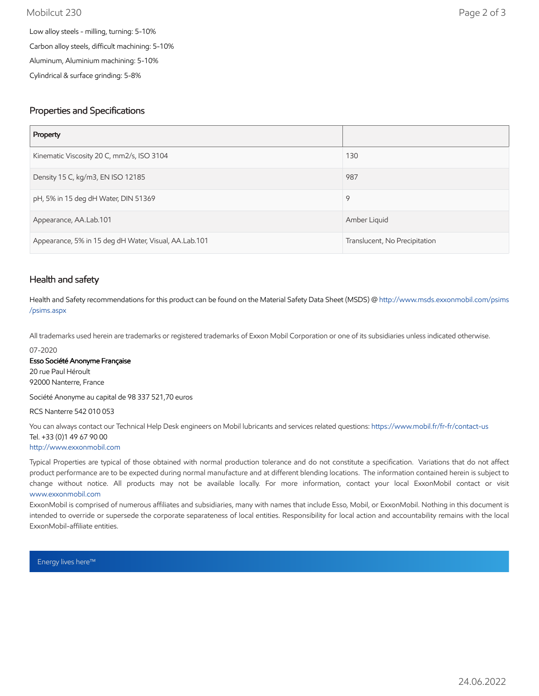### Mobilcut 230 Page 2 of 3

Carbon alloy steels, difficult machining: 5-10%

Aluminum, Aluminium machining: 5-10%

Cylindrical & surface grinding: 5-8%

## Properties and Specifications

| Property                                              |                               |
|-------------------------------------------------------|-------------------------------|
| Kinematic Viscosity 20 C, mm2/s, ISO 3104             | 130                           |
| Density 15 C, kg/m3, EN ISO 12185                     | 987                           |
| pH, 5% in 15 deg dH Water, DIN 51369                  | 9                             |
| Appearance, AA.Lab.101                                | Amber Liquid                  |
| Appearance, 5% in 15 deg dH Water, Visual, AA.Lab.101 | Translucent, No Precipitation |

## Health and safety

Health and Safety recommendations for this product can be found on the Material Safety Data Sheet (MSDS) @ [http://www.msds.exxonmobil.com/psims](http://www.msds.exxonmobil.com/psims/psims.aspx) /psims.aspx

All trademarks used herein are trademarks or registered trademarks of Exxon Mobil Corporation or one of its subsidiaries unless indicated otherwise.

#### 07-2020

### Esso Société Anonyme Française

20 rue Paul Héroult 92000 Nanterre, France

Société Anonyme au capital de 98 337 521,70 euros

### RCS Nanterre 542 010 053

You can always contact our Technical Help Desk engineers on Mobil lubricants and services related questions:<https://www.mobil.fr/fr-fr/contact-us> Tel. +33 (0)1 49 67 90 00

### [http://www.exxonmobil.com](http://www.exxonmobil.com/)

Typical Properties are typical of those obtained with normal production tolerance and do not constitute a specification. Variations that do not affect product performance are to be expected during normal manufacture and at different blending locations. The information contained herein is subject to change without notice. All products may not be available locally. For more information, contact your local ExxonMobil contact or visit [www.exxonmobil.com](http://www.exxonmobil.com/)

ExxonMobil is comprised of numerous affiliates and subsidiaries, many with names that include Esso, Mobil, or ExxonMobil. Nothing in this document is intended to override or supersede the corporate separateness of local entities. Responsibility for local action and accountability remains with the local ExxonMobil-affiliate entities.

Energy lives here™